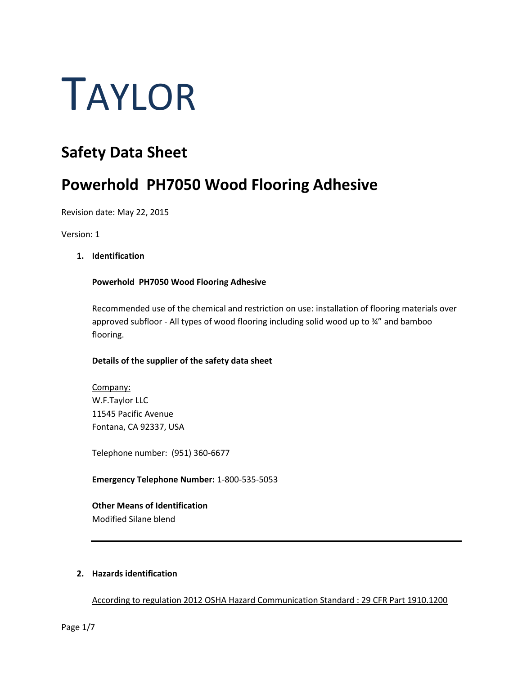# TAYLOR

# **Safety Data Sheet**

# **Powerhold PH7050 Wood Flooring Adhesive**

Revision date: May 22, 2015

Version: 1

# **1. Identification**

# **Powerhold PH7050 Wood Flooring Adhesive**

Recommended use of the chemical and restriction on use: installation of flooring materials over approved subfloor - All types of wood flooring including solid wood up to ¾" and bamboo flooring.

# **Details of the supplier of the safety data sheet**

Company: W.F.Taylor LLC 11545 Pacific Avenue Fontana, CA 92337, USA

Telephone number: (951) 360-6677

**Emergency Telephone Number:** 1-800-535-5053

# **Other Means of Identification**

Modified Silane blend

# **2. Hazards identification**

According to regulation 2012 OSHA Hazard Communication Standard : 29 CFR Part 1910.1200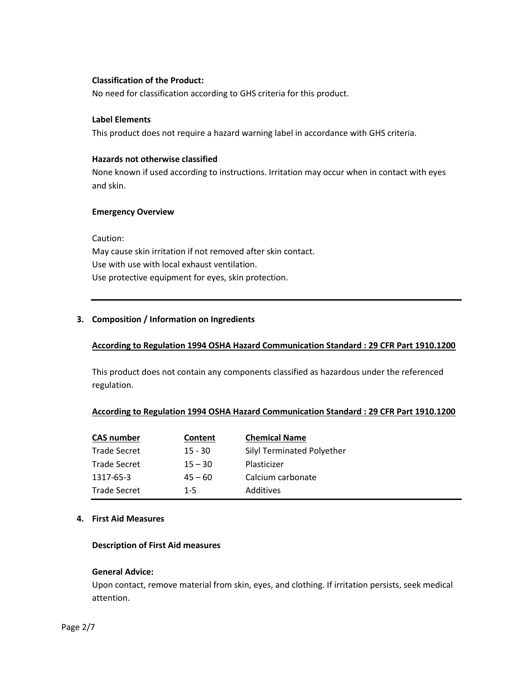# **Classification of the Product:**

No need for classification according to GHS criteria for this product.

#### **Label Elements**

This product does not require a hazard warning label in accordance with GHS criteria.

# **Hazards not otherwise classified**

None known if used according to instructions. Irritation may occur when in contact with eyes and skin.

## **Emergency Overview**

Caution:

May cause skin irritation if not removed after skin contact. Use with use with local exhaust ventilation. Use protective equipment for eyes, skin protection.

# **3. Composition / Information on Ingredients**

# **According to Regulation 1994 OSHA Hazard Communication Standard : 29 CFR Part 1910.1200**

This product does not contain any components classified as hazardous under the referenced regulation.

# **According to Regulation 1994 OSHA Hazard Communication Standard : 29 CFR Part 1910.1200**

| <b>CAS number</b>   | Content   | <b>Chemical Name</b>       |
|---------------------|-----------|----------------------------|
| <b>Trade Secret</b> | $15 - 30$ | Silyl Terminated Polyether |
| <b>Trade Secret</b> | $15 - 30$ | Plasticizer                |
| 1317-65-3           | $45 - 60$ | Calcium carbonate          |
| <b>Trade Secret</b> | $1 - 5$   | Additives                  |

#### **4. First Aid Measures**

#### **Description of First Aid measures**

#### **General Advice:**

Upon contact, remove material from skin, eyes, and clothing. If irritation persists, seek medical attention.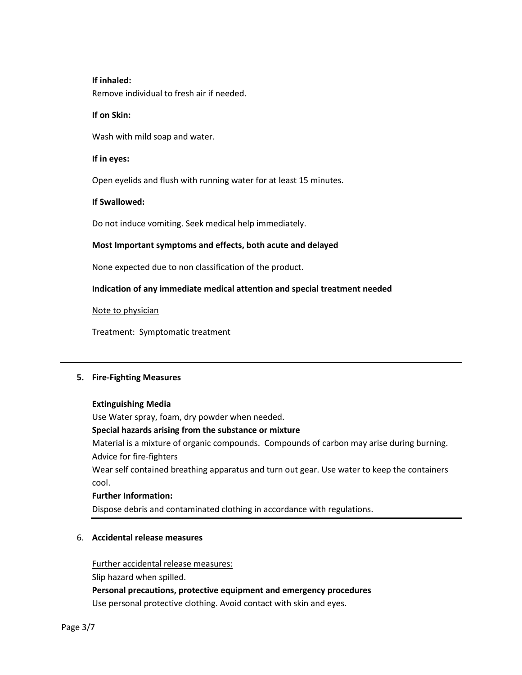## **If inhaled:**

Remove individual to fresh air if needed.

#### **If on Skin:**

Wash with mild soap and water.

#### **If in eyes:**

Open eyelids and flush with running water for at least 15 minutes.

## **If Swallowed:**

Do not induce vomiting. Seek medical help immediately.

## **Most Important symptoms and effects, both acute and delayed**

None expected due to non classification of the product.

## **Indication of any immediate medical attention and special treatment needed**

Note to physician

Treatment: Symptomatic treatment

# **5. Fire-Fighting Measures**

#### **Extinguishing Media**

Use Water spray, foam, dry powder when needed.

#### **Special hazards arising from the substance or mixture**

Material is a mixture of organic compounds. Compounds of carbon may arise during burning. Advice for fire-fighters

Wear self contained breathing apparatus and turn out gear. Use water to keep the containers cool.

#### **Further Information:**

Dispose debris and contaminated clothing in accordance with regulations.

# 6. **Accidental release measures**

Further accidental release measures:

Slip hazard when spilled.

# **Personal precautions, protective equipment and emergency procedures**

Use personal protective clothing. Avoid contact with skin and eyes.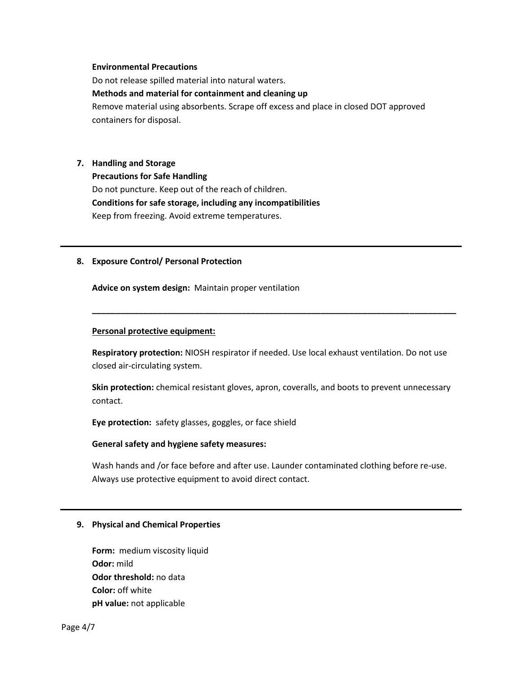#### **Environmental Precautions**

Do not release spilled material into natural waters.

#### **Methods and material for containment and cleaning up**

Remove material using absorbents. Scrape off excess and place in closed DOT approved containers for disposal.

#### **7. Handling and Storage**

**Precautions for Safe Handling** Do not puncture. Keep out of the reach of children. **Conditions for safe storage, including any incompatibilities** Keep from freezing. Avoid extreme temperatures.

#### **8. Exposure Control/ Personal Protection**

**Advice on system design:** Maintain proper ventilation

#### **Personal protective equipment:**

**Respiratory protection:** NIOSH respirator if needed. Use local exhaust ventilation. Do not use closed air-circulating system.

**\_\_\_\_\_\_\_\_\_\_\_\_\_\_\_\_\_\_\_\_\_\_\_\_\_\_\_\_\_\_\_\_\_\_\_\_\_\_\_\_\_\_\_\_\_\_\_\_\_\_\_\_\_\_\_\_\_\_\_\_\_\_\_\_\_\_\_\_\_\_\_\_\_\_\_\_\_\_**

**Skin protection:** chemical resistant gloves, apron, coveralls, and boots to prevent unnecessary contact.

**Eye protection:** safety glasses, goggles, or face shield

#### **General safety and hygiene safety measures:**

Wash hands and /or face before and after use. Launder contaminated clothing before re-use. Always use protective equipment to avoid direct contact.

#### **9. Physical and Chemical Properties**

**Form:** medium viscosity liquid **Odor:** mild **Odor threshold:** no data **Color:** off white **pH value:** not applicable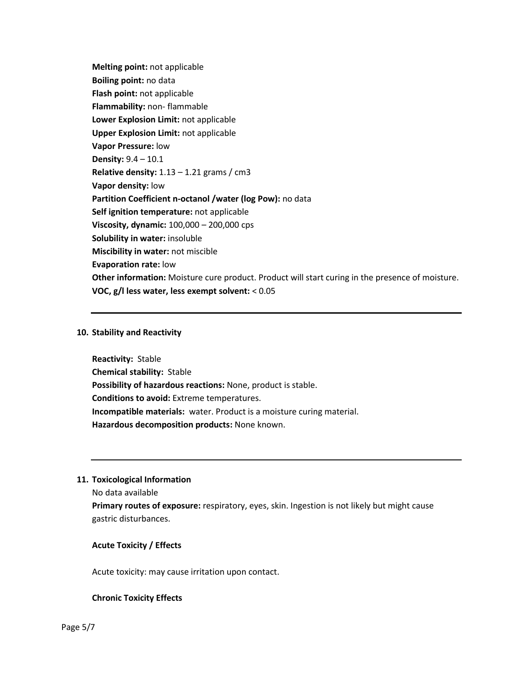**Melting point:** not applicable **Boiling point:** no data **Flash point:** not applicable **Flammability:** non- flammable **Lower Explosion Limit:** not applicable **Upper Explosion Limit:** not applicable **Vapor Pressure:** low **Density:** 9.4 – 10.1 **Relative density:** 1.13 – 1.21 grams / cm3 **Vapor density:** low **Partition Coefficient n-octanol /water (log Pow):** no data **Self ignition temperature:** not applicable **Viscosity, dynamic:** 100,000 – 200,000 cps **Solubility in water:** insoluble **Miscibility in water:** not miscible **Evaporation rate:** low **Other information:** Moisture cure product. Product will start curing in the presence of moisture. **VOC, g/l less water, less exempt solvent:** < 0.05

## **10. Stability and Reactivity**

**Reactivity:** Stable **Chemical stability:** Stable **Possibility of hazardous reactions:** None, product is stable. **Conditions to avoid:** Extreme temperatures. **Incompatible materials:** water. Product is a moisture curing material. **Hazardous decomposition products:** None known.

# **11. Toxicological Information**

No data available

**Primary routes of exposure:** respiratory, eyes, skin. Ingestion is not likely but might cause gastric disturbances.

# **Acute Toxicity / Effects**

Acute toxicity: may cause irritation upon contact.

# **Chronic Toxicity Effects**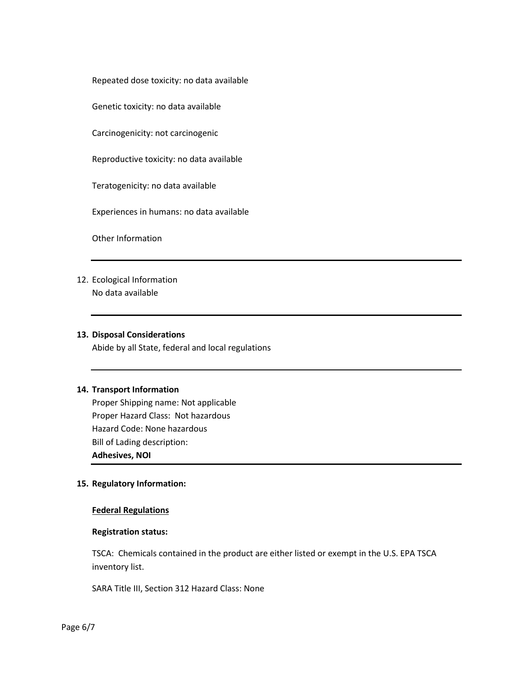Repeated dose toxicity: no data available

Genetic toxicity: no data available

Carcinogenicity: not carcinogenic

Reproductive toxicity: no data available

Teratogenicity: no data available

Experiences in humans: no data available

Other Information

12. Ecological Information No data available

## **13. Disposal Considerations**

Abide by all State, federal and local regulations

#### **14. Transport Information**

Proper Shipping name: Not applicable Proper Hazard Class: Not hazardous Hazard Code: None hazardous Bill of Lading description: **Adhesives, NOI**

#### **15. Regulatory Information:**

#### **Federal Regulations**

#### **Registration status:**

TSCA: Chemicals contained in the product are either listed or exempt in the U.S. EPA TSCA inventory list.

SARA Title III, Section 312 Hazard Class: None